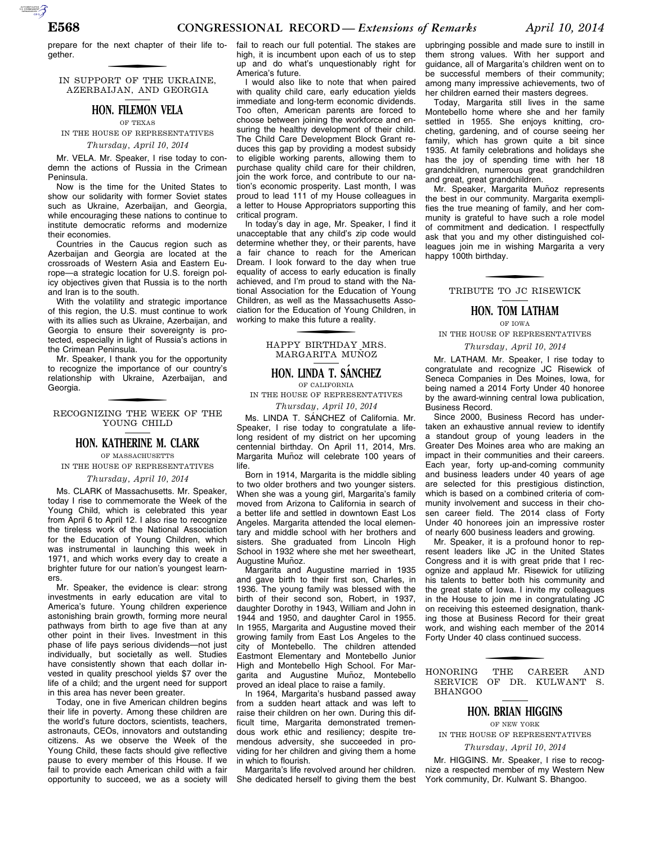prepare for the next chapter of their life together.

IN SUPPORT OF THE UKRAINE, AZERBAIJAN, AND GEORGIA

### **HON. FILEMON VELA**

OF TEXAS IN THE HOUSE OF REPRESENTATIVES

*Thursday, April 10, 2014* 

Mr. VELA. Mr. Speaker, I rise today to condemn the actions of Russia in the Crimean Peninsula.

Now is the time for the United States to show our solidarity with former Soviet states such as Ukraine, Azerbaijan, and Georgia, while encouraging these nations to continue to institute democratic reforms and modernize their economies.

Countries in the Caucus region such as Azerbaijan and Georgia are located at the crossroads of Western Asia and Eastern Europe—a strategic location for U.S. foreign policy objectives given that Russia is to the north and Iran is to the south.

With the volatility and strategic importance of this region, the U.S. must continue to work with its allies such as Ukraine, Azerbaijan, and Georgia to ensure their sovereignty is protected, especially in light of Russia's actions in the Crimean Peninsula.

Mr. Speaker, I thank you for the opportunity to recognize the importance of our country's relationship with Ukraine, Azerbaijan, and Georgia.

f RECOGNIZING THE WEEK OF THE YOUNG CHILD

### **HON. KATHERINE M. CLARK**

OF MASSACHUSETTS IN THE HOUSE OF REPRESENTATIVES

*Thursday, April 10, 2014* 

Ms. CLARK of Massachusetts. Mr. Speaker, today I rise to commemorate the Week of the Young Child, which is celebrated this year from April 6 to April 12. I also rise to recognize the tireless work of the National Association for the Education of Young Children, which was instrumental in launching this week in 1971, and which works every day to create a brighter future for our nation's youngest learners.

Mr. Speaker, the evidence is clear: strong investments in early education are vital to America's future. Young children experience astonishing brain growth, forming more neural pathways from birth to age five than at any other point in their lives. Investment in this phase of life pays serious dividends—not just individually, but societally as well. Studies have consistently shown that each dollar invested in quality preschool yields \$7 over the life of a child; and the urgent need for support in this area has never been greater.

Today, one in five American children begins their life in poverty. Among these children are the world's future doctors, scientists, teachers, astronauts, CEOs, innovators and outstanding citizens. As we observe the Week of the Young Child, these facts should give reflective pause to every member of this House. If we fail to provide each American child with a fair opportunity to succeed, we as a society will

fail to reach our full potential. The stakes are high, it is incumbent upon each of us to step up and do what's unquestionably right for America's future.

I would also like to note that when paired with quality child care, early education yields immediate and long-term economic dividends. Too often, American parents are forced to choose between joining the workforce and ensuring the healthy development of their child. The Child Care Development Block Grant reduces this gap by providing a modest subsidy to eligible working parents, allowing them to purchase quality child care for their children, join the work force, and contribute to our nation's economic prosperity. Last month, I was proud to lead 111 of my House colleagues in a letter to House Appropriators supporting this critical program.

In today's day in age, Mr. Speaker, I find it unacceptable that any child's zip code would determine whether they, or their parents, have a fair chance to reach for the American Dream. I look forward to the day when true equality of access to early education is finally achieved, and I'm proud to stand with the National Association for the Education of Young Children, as well as the Massachusetts Association for the Education of Young Children, in working to make this future a reality.

> f HAPPY BIRTHDAY MRS. MARGARITA MUÑOZ

### **HON. LINDA T. SANCHEZ**

OF CALIFORNIA

IN THE HOUSE OF REPRESENTATIVES *Thursday, April 10, 2014* 

Ms. LINDA T. SÁNCHEZ of California. Mr. Speaker, I rise today to congratulate a lifelong resident of my district on her upcoming centennial birthday. On April 11, 2014, Mrs. Margarita Muñoz will celebrate 100 years of life.

Born in 1914, Margarita is the middle sibling to two older brothers and two younger sisters. When she was a young girl, Margarita's family moved from Arizona to California in search of a better life and settled in downtown East Los Angeles. Margarita attended the local elementary and middle school with her brothers and sisters. She graduated from Lincoln High School in 1932 where she met her sweetheart, Augustine Muñoz.

Margarita and Augustine married in 1935 and gave birth to their first son, Charles, in 1936. The young family was blessed with the birth of their second son, Robert, in 1937, daughter Dorothy in 1943, William and John in 1944 and 1950, and daughter Carol in 1955. In 1955, Margarita and Augustine moved their growing family from East Los Angeles to the city of Montebello. The children attended Eastmont Elementary and Montebello Junior High and Montebello High School. For Margarita and Augustine Muñoz, Montebello proved an ideal place to raise a family.

In 1964, Margarita's husband passed away from a sudden heart attack and was left to raise their children on her own. During this difficult time, Margarita demonstrated tremendous work ethic and resiliency; despite tremendous adversity, she succeeded in providing for her children and giving them a home in which to flourish.

Margarita's life revolved around her children. She dedicated herself to giving them the best

upbringing possible and made sure to instill in them strong values. With her support and guidance, all of Margarita's children went on to be successful members of their community; among many impressive achievements, two of her children earned their masters degrees.

Today, Margarita still lives in the same Montebello home where she and her family settled in 1955. She enjoys knitting, crocheting, gardening, and of course seeing her family, which has grown quite a bit since 1935. At family celebrations and holidays she has the joy of spending time with her 18 grandchildren, numerous great grandchildren and great, great grandchildren.

Mr. Speaker, Margarita Muñoz represents the best in our community. Margarita exemplifies the true meaning of family, and her community is grateful to have such a role model of commitment and dedication. I respectfully ask that you and my other distinguished colleagues join me in wishing Margarita a very happy 100th birthday.

f TRIBUTE TO JC RISEWICK

# **HON. TOM LATHAM**

OF IOWA

IN THE HOUSE OF REPRESENTATIVES

### *Thursday, April 10, 2014*

Mr. LATHAM. Mr. Speaker, I rise today to congratulate and recognize JC Risewick of Seneca Companies in Des Moines, Iowa, for being named a 2014 Forty Under 40 honoree by the award-winning central Iowa publication, Business Record.

Since 2000, Business Record has undertaken an exhaustive annual review to identify a standout group of young leaders in the Greater Des Moines area who are making an impact in their communities and their careers. Each year, forty up-and-coming community and business leaders under 40 years of age are selected for this prestigious distinction, which is based on a combined criteria of community involvement and success in their chosen career field. The 2014 class of Forty Under 40 honorees join an impressive roster of nearly 600 business leaders and growing.

Mr. Speaker, it is a profound honor to represent leaders like JC in the United States Congress and it is with great pride that I recognize and applaud Mr. Risewick for utilizing his talents to better both his community and the great state of Iowa. I invite my colleagues in the House to join me in congratulating JC on receiving this esteemed designation, thanking those at Business Record for their great work, and wishing each member of the 2014 Forty Under 40 class continued success.

HONORING THE CAREER AND SERVICE OF DR. KULWANT S. BHANGOO

### **HON. BRIAN HIGGINS**

OF NEW YORK

IN THE HOUSE OF REPRESENTATIVES

*Thursday, April 10, 2014* 

Mr. HIGGINS. Mr. Speaker, I rise to recognize a respected member of my Western New York community, Dr. Kulwant S. Bhangoo.

AUTOROTOMICALE CONTINUES